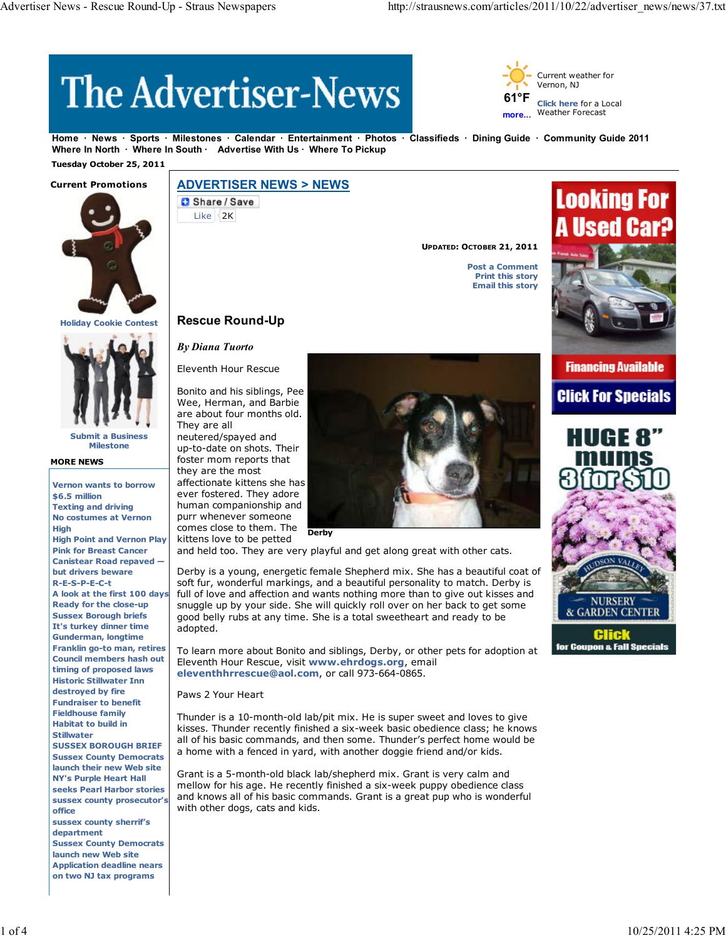# **The Advertiser-News**



**Home News Sports Milestones Calendar Entertainment Photos Classifieds Dining Guide Community Guide 2011** Where In North · Where In South · Advertise With Us · Where To Pickup

 **Tuesday October 25, 2011**



**Holiday Cookie Contest**



**Submit a Business Milestone**

#### **MORE NEWS**

**Vernon wants to borrow \$6.5 million Texting and driving No costumes at Vernon High High Point and Vernon Play Pink for Breast Cancer Canistear Road repaved but drivers beware R-E-S-P-E-C-t Ready for the close-up Sussex Borough briefs It's turkey dinner time Gunderman, longtime Franklin go-to man, retires Council members hash out timing of proposed laws Historic Stillwater Inn destroyed by fire Fundraiser to benefit Fieldhouse family Habitat to build in Stillwater SUSSEX BOROUGH BRIEF Sussex County Democrats launch their new Web site NY's Purple Heart Hall seeks Pearl Harbor stories sussex county prosecutor's office sussex county sherrif's department Sussex County Democrats launch new Web site Application deadline nears**

**on two NJ tax programs**

# **ADVERTISER NEWS > NEWS**

**C** Share / Save Like 2K

**UPDATED: OCTOBER 21, 2011**

**Post a Comment Print this story Email this story**



**Financing Available Click For Specials** 



**Rescue Round-Up**

*By Diana Tuorto*

Eleventh Hour Rescue

Bonito and his siblings, Pee Wee, Herman, and Barbie are about four months old. They are all

neutered/spayed and up-to-date on shots. Their foster mom reports that they are the most affectionate kittens she has ever fostered. They adore human companionship and purr whenever someone comes close to them. The kittens love to be petted

and held too. They are very playful and get along great with other cats.

**Derby**

A look at the first 100 days full of love and affection and wants nothing more than to give out kisses and Derby is a young, energetic female Shepherd mix. She has a beautiful coat of soft fur, wonderful markings, and a beautiful personality to match. Derby is snuggle up by your side. She will quickly roll over on her back to get some good belly rubs at any time. She is a total sweetheart and ready to be adopted.

> To learn more about Bonito and siblings, Derby, or other pets for adoption at Eleventh Hour Rescue, visit **www.ehrdogs.org**, email **eleventhhrrescue@aol.com**, or call 973-664-0865.

Paws 2 Your Heart

Thunder is a 10-month-old lab/pit mix. He is super sweet and loves to give kisses. Thunder recently finished a six-week basic obedience class; he knows all of his basic commands, and then some. Thunder's perfect home would be a home with a fenced in yard, with another doggie friend and/or kids.

Grant is a 5-month-old black lab/shepherd mix. Grant is very calm and mellow for his age. He recently finished a six-week puppy obedience class and knows all of his basic commands. Grant is a great pup who is wonderful with other dogs, cats and kids.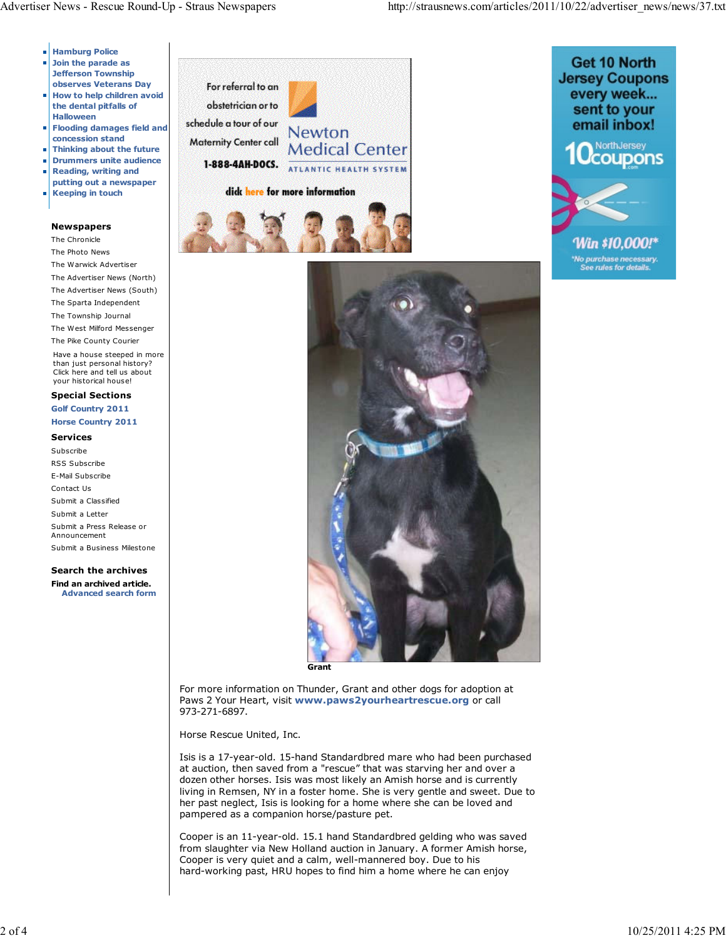- **Hamburg Police**
- **Join the parade as Jefferson Township observes Veterans Day**
- **How to help children avoid**  $\overline{\phantom{a}}$ **the dental pitfalls of Halloween**
- **Flooding damages field and concession stand**
- **Thinking about the future**
- **Drummers unite audience**  $\blacksquare$
- **Reading, writing and** Ĥ.
- **putting out a newspaper Keeping in touch**

## **Newspapers**

The Chronicle

- The Photo News The Warwick Advertiser
- The Advertiser News (North)
- The Advertiser News (South)
- The Sparta Independent
- The Township Journal
- The West Milford Messenger

The Pike County Courier Have a house steeped in more than just personal history? Click here and tell us about your historical house!

### **Special Sections Golf Country 2011 Horse Country 2011**

#### **Services**

Subscribe RSS Subscribe E-Mail Subscribe Contact Us Submit a Classified Submit a Letter Submit a Press Release or Announcement Submit a Business Milestone

**Search the archives Find an archived article. Advanced search form**







For more information on Thunder, Grant and other dogs for adoption at Paws 2 Your Heart, visit **www.paws2yourheartrescue.org** or call 973-271-6897.

Horse Rescue United, Inc.

Isis is a 17-year-old. 15-hand Standardbred mare who had been purchased at auction, then saved from a "rescue" that was starving her and over a dozen other horses. Isis was most likely an Amish horse and is currently living in Remsen, NY in a foster home. She is very gentle and sweet. Due to her past neglect, Isis is looking for a home where she can be loved and pampered as a companion horse/pasture pet.

Cooper is an 11-year-old. 15.1 hand Standardbred gelding who was saved from slaughter via New Holland auction in January. A former Amish horse, Cooper is very quiet and a calm, well-mannered boy. Due to his hard-working past, HRU hopes to find him a home where he can enjoy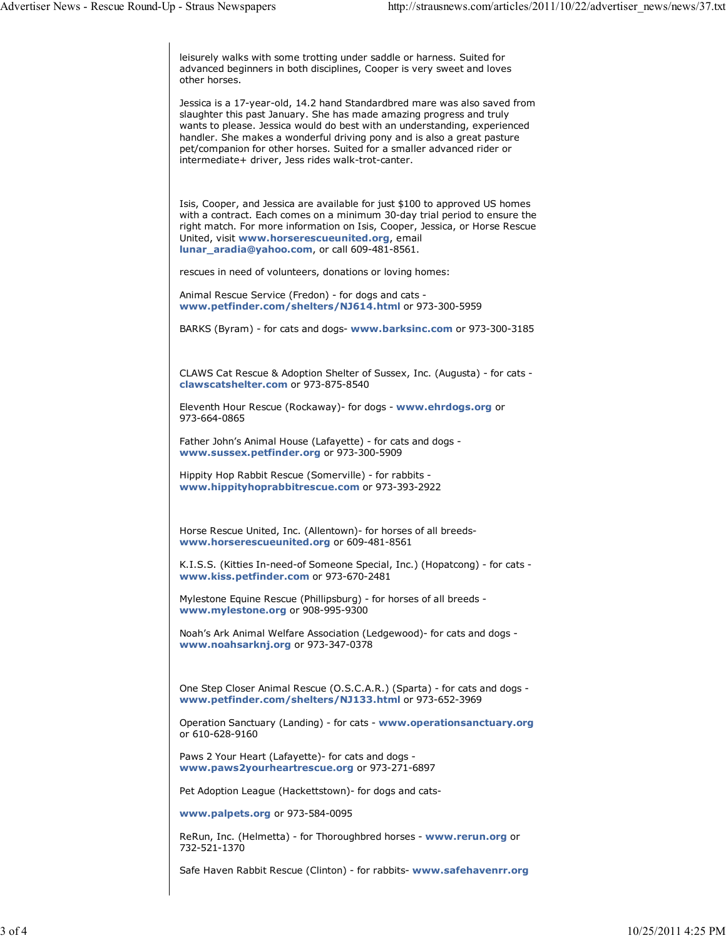leisurely walks with some trotting under saddle or harness. Suited for advanced beginners in both disciplines, Cooper is very sweet and loves other horses.

Jessica is a 17-year-old, 14.2 hand Standardbred mare was also saved from slaughter this past January. She has made amazing progress and truly wants to please. Jessica would do best with an understanding, experienced handler. She makes a wonderful driving pony and is also a great pasture pet/companion for other horses. Suited for a smaller advanced rider or intermediate+ driver, Jess rides walk-trot-canter.

Isis, Cooper, and Jessica are available for just \$100 to approved US homes with a contract. Each comes on a minimum 30-day trial period to ensure the right match. For more information on Isis, Cooper, Jessica, or Horse Rescue United, visit **www.horserescueunited.org**, email **lunar\_aradia@yahoo.com**, or call 609-481-8561.

rescues in need of volunteers, donations or loving homes:

Animal Rescue Service (Fredon) - for dogs and cats **www.petfinder.com/shelters/NJ614.html** or 973-300-5959

BARKS (Byram) - for cats and dogs- **www.barksinc.com** or 973-300-3185

CLAWS Cat Rescue & Adoption Shelter of Sussex, Inc. (Augusta) - for cats **clawscatshelter.com** or 973-875-8540

Eleventh Hour Rescue (Rockaway)- for dogs - **www.ehrdogs.org** or 973-664-0865

Father John's Animal House (Lafayette) - for cats and dogs **www.sussex.petfinder.org** or 973-300-5909

Hippity Hop Rabbit Rescue (Somerville) - for rabbits **www.hippityhoprabbitrescue.com** or 973-393-2922

Horse Rescue United, Inc. (Allentown)- for horses of all breeds**www.horserescueunited.org** or 609-481-8561

K.I.S.S. (Kitties In-need-of Someone Special, Inc.) (Hopatcong) - for cats **www.kiss.petfinder.com** or 973-670-2481

Mylestone Equine Rescue (Phillipsburg) - for horses of all breeds **www.mylestone.org** or 908-995-9300

Noah's Ark Animal Welfare Association (Ledgewood)- for cats and dogs **www.noahsarknj.org** or 973-347-0378

One Step Closer Animal Rescue (O.S.C.A.R.) (Sparta) - for cats and dogs **www.petfinder.com/shelters/NJ133.html** or 973-652-3969

Operation Sanctuary (Landing) - for cats - **www.operationsanctuary.org** or 610-628-9160

Paws 2 Your Heart (Lafayette)- for cats and dogs **www.paws2yourheartrescue.org** or 973-271-6897

Pet Adoption League (Hackettstown)- for dogs and cats-

**www.palpets.org** or 973-584-0095

ReRun, Inc. (Helmetta) - for Thoroughbred horses - **www.rerun.org** or 732-521-1370

Safe Haven Rabbit Rescue (Clinton) - for rabbits- **www.safehavenrr.org**